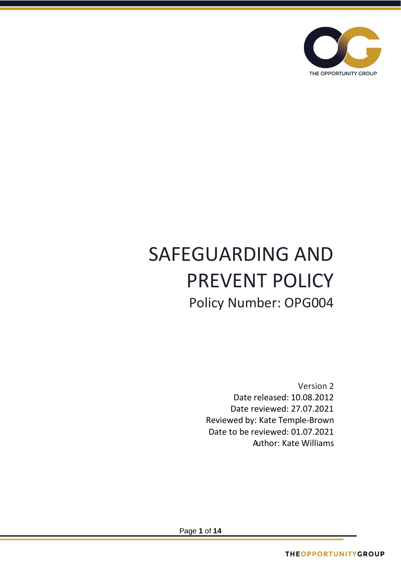

# SAFEGUARDING AND PREVENT POLICY Policy Number: OPG004

Version 2 Date released: 10.08.2012 Date reviewed: 27.07.2021 Reviewed by: Kate Temple-Brown Date to be reviewed: 01.07.2021 Author: Kate Williams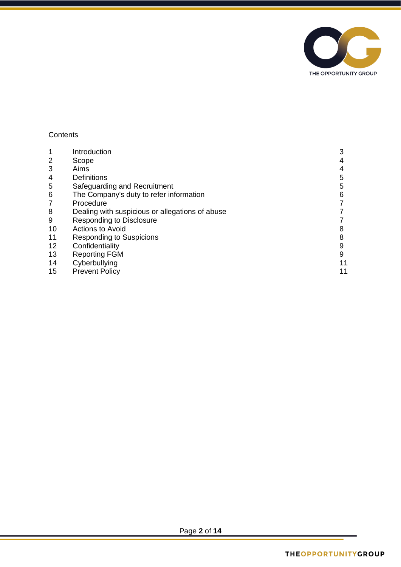

# **Contents**

| Introduction                                    | 3  |
|-------------------------------------------------|----|
| Scope                                           | 4  |
| Aims                                            | 4  |
| <b>Definitions</b>                              | 5  |
| Safeguarding and Recruitment                    | 5  |
| The Company's duty to refer information         | 6  |
| Procedure                                       |    |
| Dealing with suspicious or allegations of abuse |    |
| <b>Responding to Disclosure</b>                 |    |
| <b>Actions to Avoid</b>                         | 8  |
| <b>Responding to Suspicions</b>                 | 8  |
| Confidentiality                                 | 9  |
| <b>Reporting FGM</b>                            | 9  |
| Cyberbullying                                   | 11 |
| <b>Prevent Policy</b>                           | 11 |
|                                                 |    |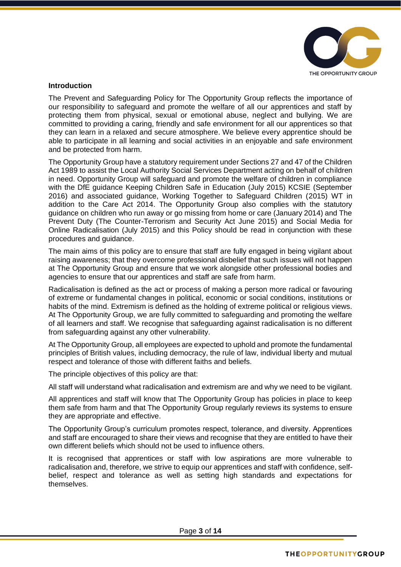

#### **Introduction**

The Prevent and Safeguarding Policy for The Opportunity Group reflects the importance of our responsibility to safeguard and promote the welfare of all our apprentices and staff by protecting them from physical, sexual or emotional abuse, neglect and bullying. We are committed to providing a caring, friendly and safe environment for all our apprentices so that they can learn in a relaxed and secure atmosphere. We believe every apprentice should be able to participate in all learning and social activities in an enjoyable and safe environment and be protected from harm.

The Opportunity Group have a statutory requirement under Sections 27 and 47 of the Children Act 1989 to assist the Local Authority Social Services Department acting on behalf of children in need. Opportunity Group will safeguard and promote the welfare of children in compliance with the DfE guidance Keeping Children Safe in Education (July 2015) KCSIE (September 2016) and associated guidance, Working Together to Safeguard Children (2015) WT in addition to the Care Act 2014. The Opportunity Group also complies with the statutory guidance on children who run away or go missing from home or care (January 2014) and The Prevent Duty (The Counter-Terrorism and Security Act June 2015) and Social Media for Online Radicalisation (July 2015) and this Policy should be read in conjunction with these procedures and guidance.

The main aims of this policy are to ensure that staff are fully engaged in being vigilant about raising awareness; that they overcome professional disbelief that such issues will not happen at The Opportunity Group and ensure that we work alongside other professional bodies and agencies to ensure that our apprentices and staff are safe from harm.

Radicalisation is defined as the act or process of making a person more radical or favouring of extreme or fundamental changes in political, economic or social conditions, institutions or habits of the mind. Extremism is defined as the holding of extreme political or religious views. At The Opportunity Group, we are fully committed to safeguarding and promoting the welfare of all learners and staff. We recognise that safeguarding against radicalisation is no different from safeguarding against any other vulnerability.

At The Opportunity Group, all employees are expected to uphold and promote the fundamental principles of British values, including democracy, the rule of law, individual liberty and mutual respect and tolerance of those with different faiths and beliefs.

The principle objectives of this policy are that:

All staff will understand what radicalisation and extremism are and why we need to be vigilant.

All apprentices and staff will know that The Opportunity Group has policies in place to keep them safe from harm and that The Opportunity Group regularly reviews its systems to ensure they are appropriate and effective.

The Opportunity Group's curriculum promotes respect, tolerance, and diversity. Apprentices and staff are encouraged to share their views and recognise that they are entitled to have their own different beliefs which should not be used to influence others.

It is recognised that apprentices or staff with low aspirations are more vulnerable to radicalisation and, therefore, we strive to equip our apprentices and staff with confidence, selfbelief, respect and tolerance as well as setting high standards and expectations for themselves.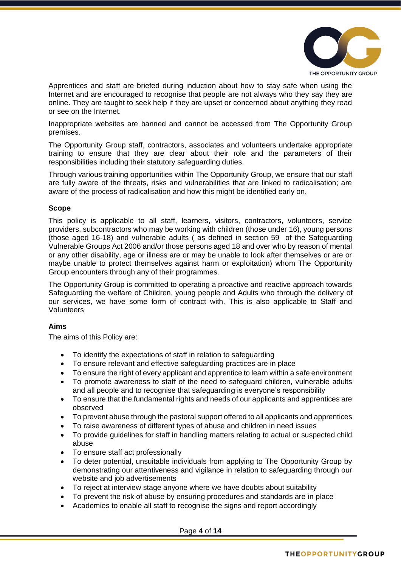

Apprentices and staff are briefed during induction about how to stay safe when using the Internet and are encouraged to recognise that people are not always who they say they are online. They are taught to seek help if they are upset or concerned about anything they read or see on the Internet.

Inappropriate websites are banned and cannot be accessed from The Opportunity Group premises.

The Opportunity Group staff, contractors, associates and volunteers undertake appropriate training to ensure that they are clear about their role and the parameters of their responsibilities including their statutory safeguarding duties.

Through various training opportunities within The Opportunity Group, we ensure that our staff are fully aware of the threats, risks and vulnerabilities that are linked to radicalisation; are aware of the process of radicalisation and how this might be identified early on.

#### **Scope**

This policy is applicable to all staff, learners, visitors, contractors, volunteers, service providers, subcontractors who may be working with children (those under 16), young persons (those aged 16-18) and vulnerable adults ( as defined in section 59 of the Safeguarding Vulnerable Groups Act 2006 and/or those persons aged 18 and over who by reason of mental or any other disability, age or illness are or may be unable to look after themselves or are or maybe unable to protect themselves against harm or exploitation) whom The Opportunity Group encounters through any of their programmes.

The Opportunity Group is committed to operating a proactive and reactive approach towards Safeguarding the welfare of Children, young people and Adults who through the delivery of our services, we have some form of contract with. This is also applicable to Staff and Volunteers

#### **Aims**

The aims of this Policy are:

- To identify the expectations of staff in relation to safeguarding
- To ensure relevant and effective safeguarding practices are in place
- To ensure the right of every applicant and apprentice to learn within a safe environment
- To promote awareness to staff of the need to safeguard children, vulnerable adults and all people and to recognise that safeguarding is everyone's responsibility
- To ensure that the fundamental rights and needs of our applicants and apprentices are observed
- To prevent abuse through the pastoral support offered to all applicants and apprentices
- To raise awareness of different types of abuse and children in need issues
- To provide guidelines for staff in handling matters relating to actual or suspected child abuse
- To ensure staff act professionally
- To deter potential, unsuitable individuals from applying to The Opportunity Group by demonstrating our attentiveness and vigilance in relation to safeguarding through our website and job advertisements
- To reject at interview stage anyone where we have doubts about suitability
- To prevent the risk of abuse by ensuring procedures and standards are in place
- Academies to enable all staff to recognise the signs and report accordingly

Page **4** of **14**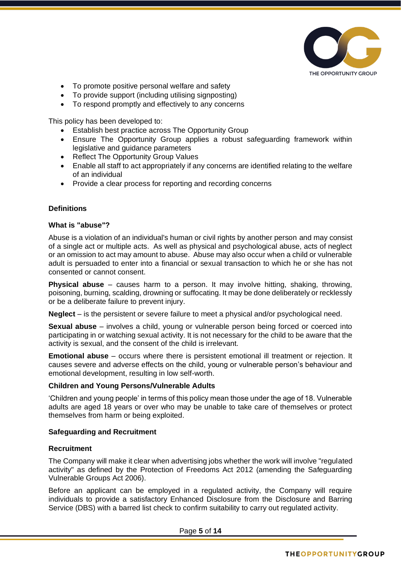

- To promote positive personal welfare and safety
- To provide support (including utilising signposting)
- To respond promptly and effectively to any concerns

This policy has been developed to:

- Establish best practice across The Opportunity Group
- Ensure The Opportunity Group applies a robust safeguarding framework within legislative and guidance parameters
- Reflect The Opportunity Group Values
- Enable all staff to act appropriately if any concerns are identified relating to the welfare of an individual
- Provide a clear process for reporting and recording concerns

# **Definitions**

#### **What is "abuse"?**

Abuse is a violation of an individual's human or civil rights by another person and may consist of a single act or multiple acts. As well as physical and psychological abuse, acts of neglect or an omission to act may amount to abuse. Abuse may also occur when a child or vulnerable adult is persuaded to enter into a financial or sexual transaction to which he or she has not consented or cannot consent.

**Physical abuse** – causes harm to a person. It may involve hitting, shaking, throwing, poisoning, burning, scalding, drowning or suffocating. It may be done deliberately or recklessly or be a deliberate failure to prevent injury.

**Neglect** – is the persistent or severe failure to meet a physical and/or psychological need.

**Sexual abuse** – involves a child, young or vulnerable person being forced or coerced into participating in or watching sexual activity. It is not necessary for the child to be aware that the activity is sexual, and the consent of the child is irrelevant.

**Emotional abuse** – occurs where there is persistent emotional ill treatment or rejection. It causes severe and adverse effects on the child, young or vulnerable person's behaviour and emotional development, resulting in low self-worth.

# **Children and Young Persons/Vulnerable Adults**

'Children and young people' in terms of this policy mean those under the age of 18. Vulnerable adults are aged 18 years or over who may be unable to take care of themselves or protect themselves from harm or being exploited.

# **Safeguarding and Recruitment**

#### **Recruitment**

The Company will make it clear when advertising jobs whether the work will involve "regulated activity" as defined by the Protection of Freedoms Act 2012 (amending the Safeguarding Vulnerable Groups Act 2006).

Before an applicant can be employed in a regulated activity, the Company will require individuals to provide a satisfactory Enhanced Disclosure from the Disclosure and Barring Service (DBS) with a barred list check to confirm suitability to carry out regulated activity.

Page **5** of **14**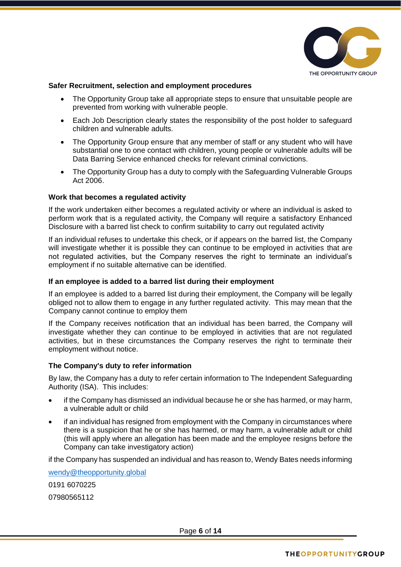

# **Safer Recruitment, selection and employment procedures**

- The Opportunity Group take all appropriate steps to ensure that unsuitable people are prevented from working with vulnerable people.
- Each Job Description clearly states the responsibility of the post holder to safeguard children and vulnerable adults.
- The Opportunity Group ensure that any member of staff or any student who will have substantial one to one contact with children, young people or vulnerable adults will be Data Barring Service enhanced checks for relevant criminal convictions.
- The Opportunity Group has a duty to comply with the Safeguarding Vulnerable Groups Act 2006.

#### **Work that becomes a regulated activity**

If the work undertaken either becomes a regulated activity or where an individual is asked to perform work that is a regulated activity, the Company will require a satisfactory Enhanced Disclosure with a barred list check to confirm suitability to carry out regulated activity

If an individual refuses to undertake this check, or if appears on the barred list, the Company will investigate whether it is possible they can continue to be employed in activities that are not regulated activities, but the Company reserves the right to terminate an individual's employment if no suitable alternative can be identified.

#### **If an employee is added to a barred list during their employment**

If an employee is added to a barred list during their employment, the Company will be legally obliged not to allow them to engage in any further regulated activity. This may mean that the Company cannot continue to employ them

If the Company receives notification that an individual has been barred, the Company will investigate whether they can continue to be employed in activities that are not regulated activities, but in these circumstances the Company reserves the right to terminate their employment without notice.

#### **The Company's duty to refer information**

By law, the Company has a duty to refer certain information to The Independent Safeguarding Authority (ISA). This includes:

- if the Company has dismissed an individual because he or she has harmed, or may harm, a vulnerable adult or child
- if an individual has resigned from employment with the Company in circumstances where there is a suspicion that he or she has harmed, or may harm, a vulnerable adult or child (this will apply where an allegation has been made and the employee resigns before the Company can take investigatory action)

if the Company has suspended an individual and has reason to, Wendy Bates needs informing

[wendy@theopportunity.global](mailto:wendy@theopportunity.global) 0191 6070225 07980565112

Page **6** of **14**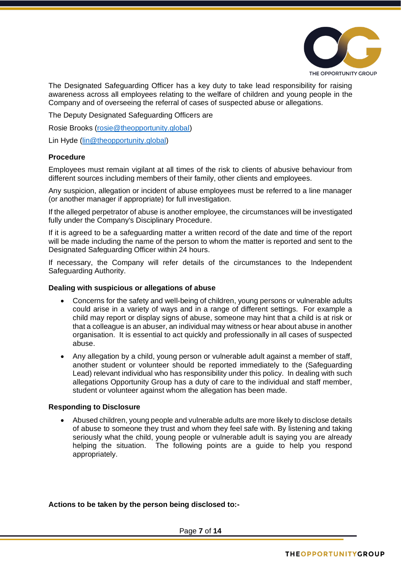

The Designated Safeguarding Officer has a key duty to take lead responsibility for raising awareness across all employees relating to the welfare of children and young people in the Company and of overseeing the referral of cases of suspected abuse or allegations.

The Deputy Designated Safeguarding Officers are

Rosie Brooks [\(rosie@theopportunity.global\)](mailto:rosie@theopportunity.global)

Lin Hyde [\(lin@theopportunity.global\)](mailto:lin@theopportunity.global)

#### **Procedure**

Employees must remain vigilant at all times of the risk to clients of abusive behaviour from different sources including members of their family, other clients and employees.

Any suspicion, allegation or incident of abuse employees must be referred to a line manager (or another manager if appropriate) for full investigation.

If the alleged perpetrator of abuse is another employee, the circumstances will be investigated fully under the Company's Disciplinary Procedure.

If it is agreed to be a safeguarding matter a written record of the date and time of the report will be made including the name of the person to whom the matter is reported and sent to the Designated Safeguarding Officer within 24 hours.

If necessary, the Company will refer details of the circumstances to the Independent Safeguarding Authority.

#### **Dealing with suspicious or allegations of abuse**

- Concerns for the safety and well-being of children, young persons or vulnerable adults could arise in a variety of ways and in a range of different settings. For example a child may report or display signs of abuse, someone may hint that a child is at risk or that a colleague is an abuser, an individual may witness or hear about abuse in another organisation. It is essential to act quickly and professionally in all cases of suspected abuse.
- Any allegation by a child, young person or vulnerable adult against a member of staff, another student or volunteer should be reported immediately to the (Safeguarding Lead) relevant individual who has responsibility under this policy. In dealing with such allegations Opportunity Group has a duty of care to the individual and staff member, student or volunteer against whom the allegation has been made.

# **Responding to Disclosure**

• Abused children, young people and vulnerable adults are more likely to disclose details of abuse to someone they trust and whom they feel safe with. By listening and taking seriously what the child, young people or vulnerable adult is saying you are already helping the situation. The following points are a guide to help you respond appropriately.

# **Actions to be taken by the person being disclosed to:-**

Page **7** of **14**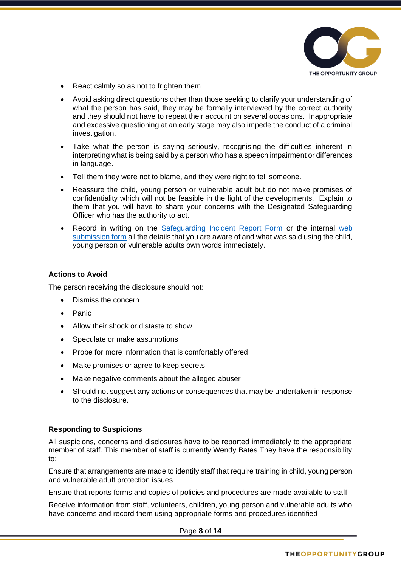

- React calmly so as not to frighten them
- Avoid asking direct questions other than those seeking to clarify your understanding of what the person has said, they may be formally interviewed by the correct authority and they should not have to repeat their account on several occasions. Inappropriate and excessive questioning at an early stage may also impede the conduct of a criminal investigation.
- Take what the person is saying seriously, recognising the difficulties inherent in interpreting what is being said by a person who has a speech impairment or differences in language.
- Tell them they were not to blame, and they were right to tell someone.
- Reassure the child, young person or vulnerable adult but do not make promises of confidentiality which will not be feasible in the light of the developments. Explain to them that you will have to share your concerns with the Designated Safeguarding Officer who has the authority to act.
- Record in writing on the [Safeguarding Incident Report Form](https://gradvert.sharepoint.com/sites/intranet/Policies%20and%20Procedures/Forms/AllItems.aspx?viewid=aa9506ea%2D500a%2D47d7%2D8d5a%2Dd2d95bddbf18&id=%2Fsites%2Fintranet%2FPolicies%20and%20Procedures%2FOPG%20Policies%20%26%20Procedures%202019%2D2020%2FApendix) or the internal [web](https://forms.office.com/Pages/ResponsePage.aspx?id=9hKhirW8kEKhBEJm3HYBRofSfqtRrRBApO_msgtoj9lUOTA3UzBCM0g0UzlJTE4zVVRTVDc3MDdYOSQlQCN0PWcu)  [submission](https://forms.office.com/Pages/ResponsePage.aspx?id=9hKhirW8kEKhBEJm3HYBRofSfqtRrRBApO_msgtoj9lUOTA3UzBCM0g0UzlJTE4zVVRTVDc3MDdYOSQlQCN0PWcu) form all the details that you are aware of and what was said using the child, young person or vulnerable adults own words immediately.

#### **Actions to Avoid**

The person receiving the disclosure should not:

- Dismiss the concern
- Panic
- Allow their shock or distaste to show
- Speculate or make assumptions
- Probe for more information that is comfortably offered
- Make promises or agree to keep secrets
- Make negative comments about the alleged abuser
- Should not suggest any actions or consequences that may be undertaken in response to the disclosure.

# **Responding to Suspicions**

All suspicions, concerns and disclosures have to be reported immediately to the appropriate member of staff. This member of staff is currently Wendy Bates They have the responsibility to:

Ensure that arrangements are made to identify staff that require training in child, young person and vulnerable adult protection issues

Ensure that reports forms and copies of policies and procedures are made available to staff

Receive information from staff, volunteers, children, young person and vulnerable adults who have concerns and record them using appropriate forms and procedures identified

Page **8** of **14**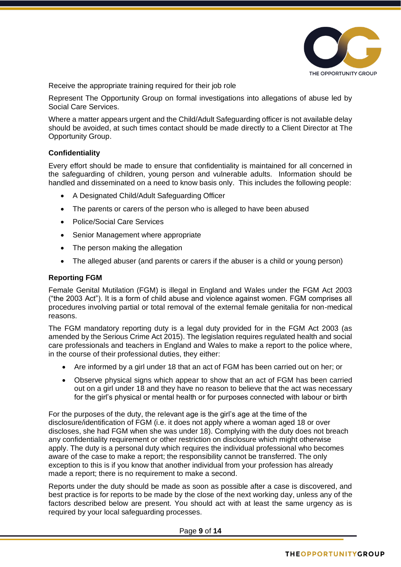

Receive the appropriate training required for their job role

Represent The Opportunity Group on formal investigations into allegations of abuse led by Social Care Services.

Where a matter appears urgent and the Child/Adult Safeguarding officer is not available delay should be avoided, at such times contact should be made directly to a Client Director at The Opportunity Group.

#### **Confidentiality**

Every effort should be made to ensure that confidentiality is maintained for all concerned in the safeguarding of children, young person and vulnerable adults. Information should be handled and disseminated on a need to know basis only. This includes the following people:

- A Designated Child/Adult Safeguarding Officer
- The parents or carers of the person who is alleged to have been abused
- Police/Social Care Services
- Senior Management where appropriate
- The person making the allegation
- The alleged abuser (and parents or carers if the abuser is a child or young person)

#### **Reporting FGM**

Female Genital Mutilation (FGM) is illegal in England and Wales under the FGM Act 2003 ("the 2003 Act"). It is a form of child abuse and violence against women. FGM comprises all procedures involving partial or total removal of the external female genitalia for non-medical reasons.

The FGM mandatory reporting duty is a legal duty provided for in the FGM Act 2003 (as amended by the Serious Crime Act 2015). The legislation requires regulated health and social care professionals and teachers in England and Wales to make a report to the police where, in the course of their professional duties, they either:

- Are informed by a girl under 18 that an act of FGM has been carried out on her; or
- Observe physical signs which appear to show that an act of FGM has been carried out on a girl under 18 and they have no reason to believe that the act was necessary for the girl's physical or mental health or for purposes connected with labour or birth

For the purposes of the duty, the relevant age is the girl's age at the time of the disclosure/identification of FGM (i.e. it does not apply where a woman aged 18 or over discloses, she had FGM when she was under 18). Complying with the duty does not breach any confidentiality requirement or other restriction on disclosure which might otherwise apply. The duty is a personal duty which requires the individual professional who becomes aware of the case to make a report; the responsibility cannot be transferred. The only exception to this is if you know that another individual from your profession has already made a report; there is no requirement to make a second.

Reports under the duty should be made as soon as possible after a case is discovered, and best practice is for reports to be made by the close of the next working day, unless any of the factors described below are present. You should act with at least the same urgency as is required by your local safeguarding processes.

Page **9** of **14**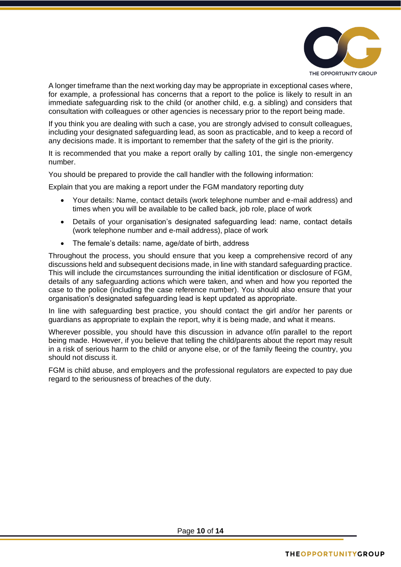

A longer timeframe than the next working day may be appropriate in exceptional cases where, for example, a professional has concerns that a report to the police is likely to result in an immediate safeguarding risk to the child (or another child, e.g. a sibling) and considers that consultation with colleagues or other agencies is necessary prior to the report being made.

If you think you are dealing with such a case, you are strongly advised to consult colleagues, including your designated safeguarding lead, as soon as practicable, and to keep a record of any decisions made. It is important to remember that the safety of the girl is the priority.

It is recommended that you make a report orally by calling 101, the single non-emergency number.

You should be prepared to provide the call handler with the following information:

Explain that you are making a report under the FGM mandatory reporting duty

- Your details: Name, contact details (work telephone number and e-mail address) and times when you will be available to be called back, job role, place of work
- Details of your organisation's designated safeguarding lead: name, contact details (work telephone number and e-mail address), place of work
- The female's details: name, age/date of birth, address

Throughout the process, you should ensure that you keep a comprehensive record of any discussions held and subsequent decisions made, in line with standard safeguarding practice. This will include the circumstances surrounding the initial identification or disclosure of FGM, details of any safeguarding actions which were taken, and when and how you reported the case to the police (including the case reference number). You should also ensure that your organisation's designated safeguarding lead is kept updated as appropriate.

In line with safeguarding best practice, you should contact the girl and/or her parents or guardians as appropriate to explain the report, why it is being made, and what it means.

Wherever possible, you should have this discussion in advance of/in parallel to the report being made. However, if you believe that telling the child/parents about the report may result in a risk of serious harm to the child or anyone else, or of the family fleeing the country, you should not discuss it.

FGM is child abuse, and employers and the professional regulators are expected to pay due regard to the seriousness of breaches of the duty.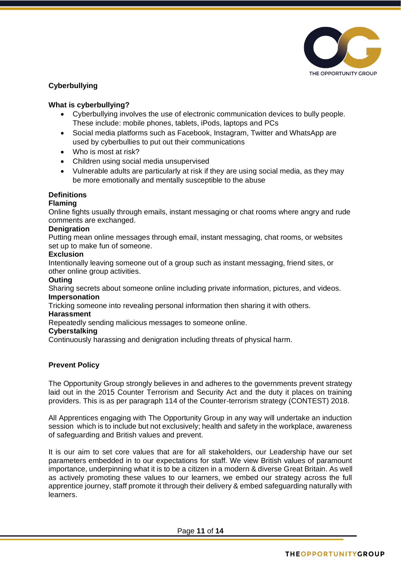

# **Cyberbullying**

# **What is cyberbullying?**

- Cyberbullying involves the use of electronic communication devices to bully people. These include: mobile phones, tablets, iPods, laptops and PCs
- Social media platforms such as Facebook, Instagram, Twitter and WhatsApp are used by cyberbullies to put out their communications
- Who is most at risk?
- Children using social media unsupervised
- Vulnerable adults are particularly at risk if they are using social media, as they may be more emotionally and mentally susceptible to the abuse

#### **Definitions**

#### **Flaming**

Online fights usually through emails, instant messaging or chat rooms where angry and rude comments are exchanged.

#### **Denigration**

Putting mean online messages through email, instant messaging, chat rooms, or websites set up to make fun of someone.

#### **Exclusion**

Intentionally leaving someone out of a group such as instant messaging, friend sites, or other online group activities.

#### **Outing**

Sharing secrets about someone online including private information, pictures, and videos. **Impersonation**

Tricking someone into revealing personal information then sharing it with others.

#### **Harassment**

Repeatedly sending malicious messages to someone online.

#### **Cyberstalking**

Continuously harassing and denigration including threats of physical harm.

# **Prevent Policy**

The Opportunity Group strongly believes in and adheres to the governments prevent strategy laid out in the 2015 Counter Terrorism and Security Act and the duty it places on training providers. This is as per paragraph 114 of the Counter-terrorism strategy (CONTEST) 2018.

All Apprentices engaging with The Opportunity Group in any way will undertake an induction session which is to include but not exclusively; health and safety in the workplace, awareness of safeguarding and British values and prevent.

It is our aim to set core values that are for all stakeholders, our Leadership have our set parameters embedded in to our expectations for staff. We view British values of paramount importance, underpinning what it is to be a citizen in a modern & diverse Great Britain. As well as actively promoting these values to our learners, we embed our strategy across the full apprentice journey, staff promote it through their delivery & embed safeguarding naturally with learners.

Page **11** of **14**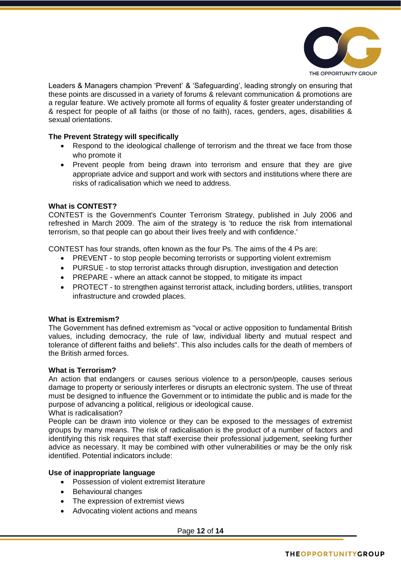

Leaders & Managers champion 'Prevent' & 'Safeguarding', leading strongly on ensuring that these points are discussed in a variety of forums & relevant communication & promotions are a regular feature. We actively promote all forms of equality & foster greater understanding of & respect for people of all faiths (or those of no faith), races, genders, ages, disabilities & sexual orientations.

# **The Prevent Strategy will specifically**

- Respond to the ideological challenge of terrorism and the threat we face from those who promote it
- Prevent people from being drawn into terrorism and ensure that they are give appropriate advice and support and work with sectors and institutions where there are risks of radicalisation which we need to address.

#### **What is CONTEST?**

CONTEST is the Government's Counter Terrorism Strategy, published in July 2006 and refreshed in March 2009. The aim of the strategy is 'to reduce the risk from international terrorism, so that people can go about their lives freely and with confidence.'

CONTEST has four strands, often known as the four Ps. The aims of the 4 Ps are:

- PREVENT to stop people becoming terrorists or supporting violent extremism
- PURSUE to stop terrorist attacks through disruption, investigation and detection
- PREPARE where an attack cannot be stopped, to mitigate its impact
- PROTECT to strengthen against terrorist attack, including borders, utilities, transport infrastructure and crowded places.

# **What is Extremism?**

The Government has defined extremism as "vocal or active opposition to fundamental British values, including democracy, the rule of law, individual liberty and mutual respect and tolerance of different faiths and beliefs". This also includes calls for the death of members of the British armed forces.

#### **What is Terrorism?**

An action that endangers or causes serious violence to a person/people, causes serious damage to property or seriously interferes or disrupts an electronic system. The use of threat must be designed to influence the Government or to intimidate the public and is made for the purpose of advancing a political, religious or ideological cause.

What is radicalisation?

People can be drawn into violence or they can be exposed to the messages of extremist groups by many means. The risk of radicalisation is the product of a number of factors and identifying this risk requires that staff exercise their professional judgement, seeking further advice as necessary. It may be combined with other vulnerabilities or may be the only risk identified. Potential indicators include:

# **Use of inappropriate language**

- Possession of violent extremist literature
- Behavioural changes
- The expression of extremist views
- Advocating violent actions and means

Page **12** of **14**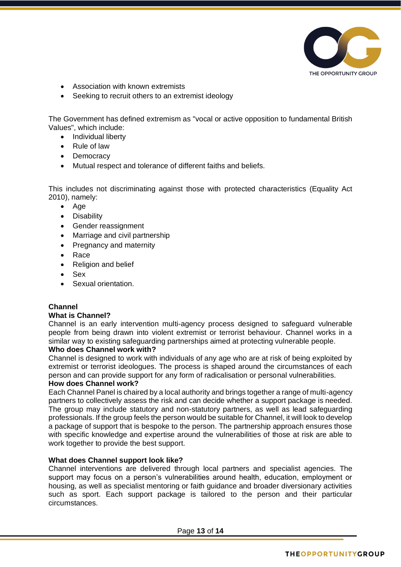

- Association with known extremists
- Seeking to recruit others to an extremist ideology

The Government has defined extremism as "vocal or active opposition to fundamental British Values", which include:

- Individual liberty
- Rule of law
- Democracy
- Mutual respect and tolerance of different faiths and beliefs.

This includes not discriminating against those with protected characteristics (Equality Act 2010), namely:

- Age
- Disability
- Gender reassignment
- Marriage and civil partnership
- Pregnancy and maternity
- Race
- Religion and belief
- Sex
- Sexual orientation.

# **Channel**

#### **What is Channel?**

Channel is an early intervention multi-agency process designed to safeguard vulnerable people from being drawn into violent extremist or terrorist behaviour. Channel works in a similar way to existing safeguarding partnerships aimed at protecting vulnerable people.

# **Who does Channel work with?**

Channel is designed to work with individuals of any age who are at risk of being exploited by extremist or terrorist ideologues. The process is shaped around the circumstances of each person and can provide support for any form of radicalisation or personal vulnerabilities.

### **How does Channel work?**

Each Channel Panel is chaired by a local authority and brings together a range of multi-agency partners to collectively assess the risk and can decide whether a support package is needed. The group may include statutory and non-statutory partners, as well as lead safeguarding professionals. If the group feels the person would be suitable for Channel, it will look to develop a package of support that is bespoke to the person. The partnership approach ensures those with specific knowledge and expertise around the vulnerabilities of those at risk are able to work together to provide the best support.

# **What does Channel support look like?**

Channel interventions are delivered through local partners and specialist agencies. The support may focus on a person's vulnerabilities around health, education, employment or housing, as well as specialist mentoring or faith guidance and broader diversionary activities such as sport. Each support package is tailored to the person and their particular circumstances.

Page **13** of **14**